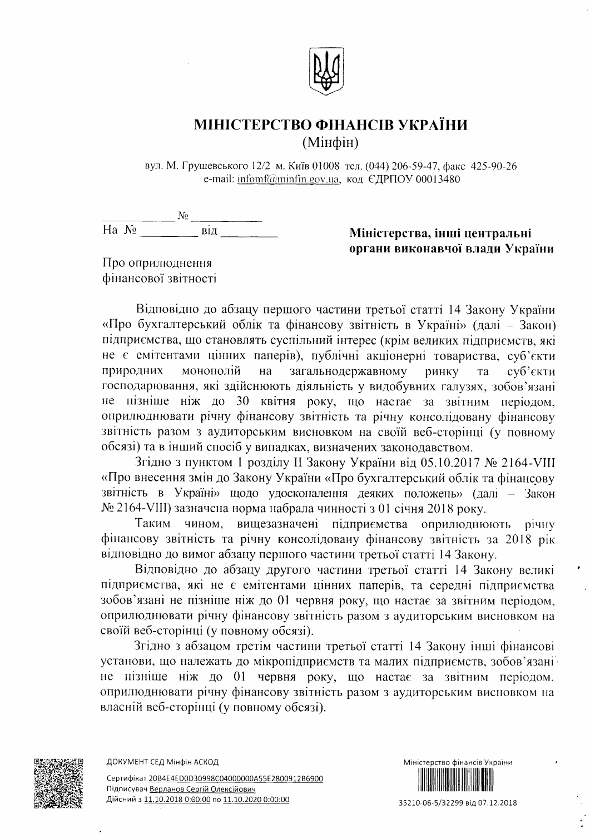

## МІНІСТЕРСТВО ФІНАНСІВ УКРАЇНИ (Мінфін)

вул. М. Грушевського 12/2 м. Київ 01008 тел. (044) 206-59-47, факс 425-90-26 e-mail: infomf@minfin.gov.ua, код ЄДРПОУ 00013480

 $\frac{N_2}{Ha N_2}$   $\frac{N_2}{Ha}$   $\frac{BiA}{Ha}$ 

Міністерства, інші центральні органи виконавчої влади України

Про оприлюднення фінансової звітності

Відповідно до абзацу першого частини третьої статті 14 Закону України «Про бухгалтерський облік та фінансову звітність в Україні» (далі - Закон) підприємства, що становлять суспільний інтерес (крім великих підприємств, які не є емітентами цінних паперів), публічні акціонерні товариства, суб'єкти природних монополій на загальнодержавному суб'єкти ринку T<sub>a</sub> господарювання, які здійснюють діяльність у видобувних галузях, зобов'язані не пізніше ніж до 30 квітня року, що настає за звітним періодом, оприлюднювати річну фінансову звітність та річну консолідовану фінансову звітність разом з аудиторським висновком на своїй веб-сторінці (у повному обсязі) та в інший спосіб у випадках, визначених законодавством.

Згідно з пунктом 1 розділу II Закону України від 05.10.2017 № 2164-VIII «Про внесення змін до Закону України «Про бухгалтерський облік та фінансову звітність в Україні» щодо удосконалення деяких положень» (далі - Закон № 2164-VIII) зазначена норма набрала чинності з 01 січня 2018 року.

Таким чином, вищезазначені підприємства оприлюднюють річну фінансову звітність та річну консолідовану фінансову звітність за 2018 рік відповідно до вимог абзацу першого частини третьої статті 14 Закону.

Відповідно до абзацу другого частини третьої статті 14 Закону великі підприємства, які не є емітентами цінних паперів, та середні підприємства зобов'язані не пізніше ніж до 01 червня року, що настає за звітним періодом, оприлюднювати річну фінансову звітність разом з аудиторським висновком на своїй веб-сторінці (у повному обсязі).

Згідно з абзацом третім частини третьої статті 14 Закону інші фінансові установи, що належать до мікропідприємств та малих підприємств, зобов'язані не пізніше ніж до 01 червня року, що настає за звітним періодом, оприлюднювати річну фінансову звітність разом з аудиторським висновком на власній веб-сторінці (у повному обсязі).





35210-06-5/32299 від 07.12.2018